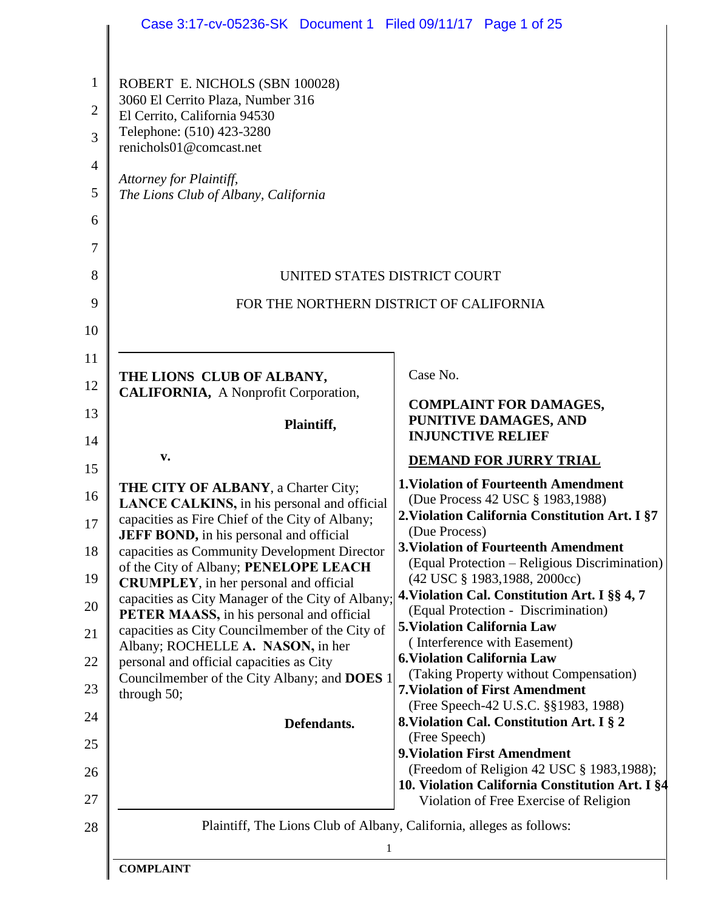|                                                                 | Case 3:17-cv-05236-SK Document 1 Filed 09/11/17 Page 1 of 25                                                                                                                                                                   |                                                                                                                                     |
|-----------------------------------------------------------------|--------------------------------------------------------------------------------------------------------------------------------------------------------------------------------------------------------------------------------|-------------------------------------------------------------------------------------------------------------------------------------|
| $\mathbf{1}$<br>$\overline{2}$<br>3<br>$\overline{4}$<br>5<br>6 | ROBERT E. NICHOLS (SBN 100028)<br>3060 El Cerrito Plaza, Number 316<br>El Cerrito, California 94530<br>Telephone: (510) 423-3280<br>renichols01@comcast.net<br>Attorney for Plaintiff,<br>The Lions Club of Albany, California |                                                                                                                                     |
| 7                                                               |                                                                                                                                                                                                                                |                                                                                                                                     |
| 8<br>9                                                          | UNITED STATES DISTRICT COURT<br>FOR THE NORTHERN DISTRICT OF CALIFORNIA                                                                                                                                                        |                                                                                                                                     |
| 10                                                              |                                                                                                                                                                                                                                |                                                                                                                                     |
| 11                                                              |                                                                                                                                                                                                                                |                                                                                                                                     |
| 12                                                              | THE LIONS CLUB OF ALBANY,<br><b>CALIFORNIA, A Nonprofit Corporation,</b>                                                                                                                                                       | Case No.                                                                                                                            |
| 13                                                              | Plaintiff,                                                                                                                                                                                                                     | <b>COMPLAINT FOR DAMAGES,</b><br><b>PUNITIVE DAMAGES, AND</b>                                                                       |
| 14                                                              | $\mathbf{v}$ .                                                                                                                                                                                                                 | <b>INJUNCTIVE RELIEF</b><br><b>DEMAND FOR JURRY TRIAL</b>                                                                           |
| 15<br>16                                                        | <b>THE CITY OF ALBANY</b> , a Charter City;<br>LANCE CALKINS, in his personal and official                                                                                                                                     | <b>1. Violation of Fourteenth Amendment</b><br>(Due Process 42 USC § 1983,1988)<br>2. Violation California Constitution Art. I §7   |
| 17<br>18                                                        | capacities as Fire Chief of the City of Albany;<br>JEFF BOND, in his personal and official<br>capacities as Community Development Director                                                                                     | (Due Process)<br><b>3. Violation of Fourteenth Amendment</b>                                                                        |
| 19                                                              | of the City of Albany; PENELOPE LEACH<br><b>CRUMPLEY</b> , in her personal and official                                                                                                                                        | (Equal Protection - Religious Discrimination)<br>(42 USC § 1983,1988, 2000cc)                                                       |
| 20                                                              | capacities as City Manager of the City of Albany;<br>PETER MAASS, in his personal and official                                                                                                                                 | 4. Violation Cal. Constitution Art. I §§ 4, 7<br>(Equal Protection - Discrimination)                                                |
| 21                                                              | capacities as City Councilmember of the City of<br>Albany; ROCHELLE A. NASON, in her                                                                                                                                           | 5. Violation California Law<br>(Interference with Easement)                                                                         |
| 22                                                              | personal and official capacities as City<br>Councilmember of the City Albany; and DOES 1                                                                                                                                       | <b>6. Violation California Law</b><br>(Taking Property without Compensation)                                                        |
| 23                                                              | through 50;                                                                                                                                                                                                                    | <b>7. Violation of First Amendment</b><br>(Free Speech-42 U.S.C. §§1983, 1988)                                                      |
| 24<br>25                                                        | Defendants.                                                                                                                                                                                                                    | <b>8. Violation Cal. Constitution Art. I § 2</b><br>(Free Speech)                                                                   |
| 26                                                              |                                                                                                                                                                                                                                | <b>9. Violation First Amendment</b><br>(Freedom of Religion 42 USC § 1983,1988);<br>10. Violation California Constitution Art. I §4 |
| 27<br>28                                                        | Plaintiff, The Lions Club of Albany, California, alleges as follows:                                                                                                                                                           | Violation of Free Exercise of Religion                                                                                              |
|                                                                 |                                                                                                                                                                                                                                |                                                                                                                                     |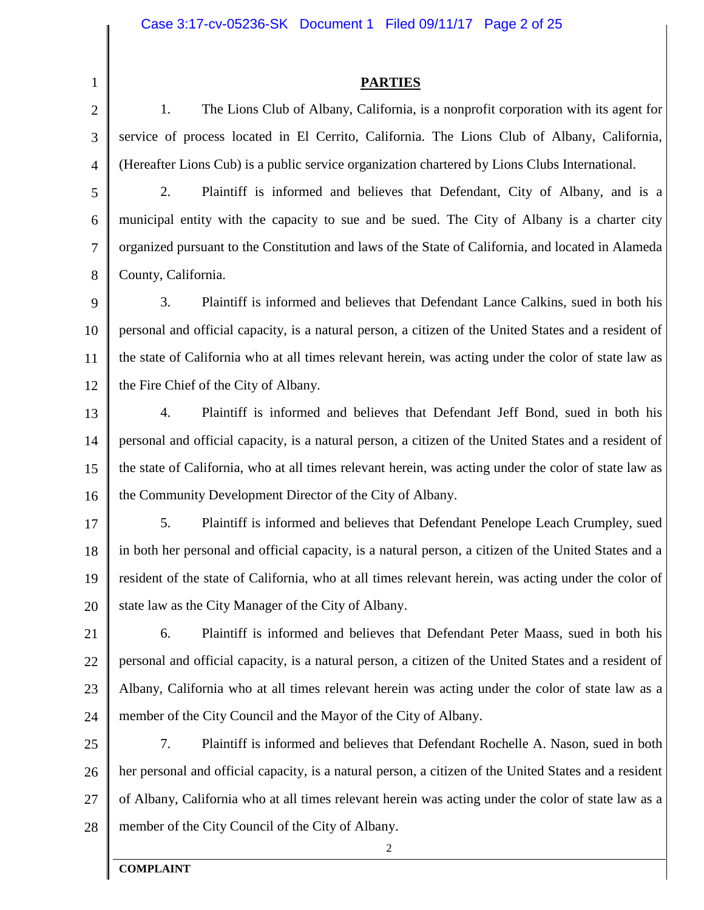**PARTIES**

1. The Lions Club of Albany, California, is a nonprofit corporation with its agent for service of process located in El Cerrito, California. The Lions Club of Albany, California, (Hereafter Lions Cub) is a public service organization chartered by Lions Clubs International.

5 6 7 8 2. Plaintiff is informed and believes that Defendant, City of Albany, and is a municipal entity with the capacity to sue and be sued. The City of Albany is a charter city organized pursuant to the Constitution and laws of the State of California, and located in Alameda County, California.

9 10 11 12 3. Plaintiff is informed and believes that Defendant Lance Calkins, sued in both his personal and official capacity, is a natural person, a citizen of the United States and a resident of the state of California who at all times relevant herein, was acting under the color of state law as the Fire Chief of the City of Albany.

13 14 15 16 4. Plaintiff is informed and believes that Defendant Jeff Bond, sued in both his personal and official capacity, is a natural person, a citizen of the United States and a resident of the state of California, who at all times relevant herein, was acting under the color of state law as the Community Development Director of the City of Albany.

17 18 19 20 5. Plaintiff is informed and believes that Defendant Penelope Leach Crumpley, sued in both her personal and official capacity, is a natural person, a citizen of the United States and a resident of the state of California, who at all times relevant herein, was acting under the color of state law as the City Manager of the City of Albany.

21 22 23 24 6. Plaintiff is informed and believes that Defendant Peter Maass, sued in both his personal and official capacity, is a natural person, a citizen of the United States and a resident of Albany, California who at all times relevant herein was acting under the color of state law as a member of the City Council and the Mayor of the City of Albany.

25 26 27 28 7. Plaintiff is informed and believes that Defendant Rochelle A. Nason, sued in both her personal and official capacity, is a natural person, a citizen of the United States and a resident of Albany, California who at all times relevant herein was acting under the color of state law as a member of the City Council of the City of Albany.

1

2

3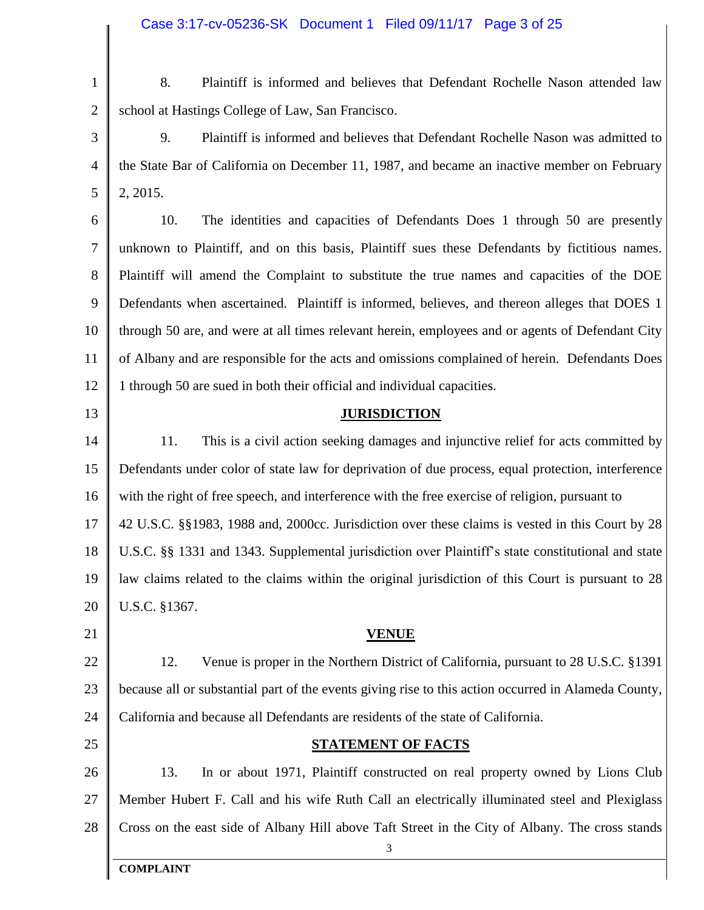- 1 2 8. Plaintiff is informed and believes that Defendant Rochelle Nason attended law school at Hastings College of Law, San Francisco.
- 3 4 5 9. Plaintiff is informed and believes that Defendant Rochelle Nason was admitted to the State Bar of California on December 11, 1987, and became an inactive member on February 2, 2015.

6 7 8 9 10 11 12 10. The identities and capacities of Defendants Does 1 through 50 are presently unknown to Plaintiff, and on this basis, Plaintiff sues these Defendants by fictitious names. Plaintiff will amend the Complaint to substitute the true names and capacities of the DOE Defendants when ascertained. Plaintiff is informed, believes, and thereon alleges that DOES 1 through 50 are, and were at all times relevant herein, employees and or agents of Defendant City of Albany and are responsible for the acts and omissions complained of herein. Defendants Does 1 through 50 are sued in both their official and individual capacities.

#### **JURISDICTION**

14 15 16 17 18 19 20 11. This is a civil action seeking damages and injunctive relief for acts committed by Defendants under color of state law for deprivation of due process, equal protection, interference with the right of free speech, and interference with the free exercise of religion, pursuant to 42 U.S.C. §§1983, 1988 and, 2000cc. Jurisdiction over these claims is vested in this Court by 28 U.S.C. §§ 1331 and 1343. Supplemental jurisdiction over Plaintiff's state constitutional and state law claims related to the claims within the original jurisdiction of this Court is pursuant to 28 U.S.C. §1367.

21

13

#### **VENUE**

22 23 24 12. Venue is proper in the Northern District of California, pursuant to 28 U.S.C. §1391 because all or substantial part of the events giving rise to this action occurred in Alameda County, California and because all Defendants are residents of the state of California.

25

#### **STATEMENT OF FACTS**

3

26 27 28 13. In or about 1971, Plaintiff constructed on real property owned by Lions Club Member Hubert F. Call and his wife Ruth Call an electrically illuminated steel and Plexiglass Cross on the east side of Albany Hill above Taft Street in the City of Albany. The cross stands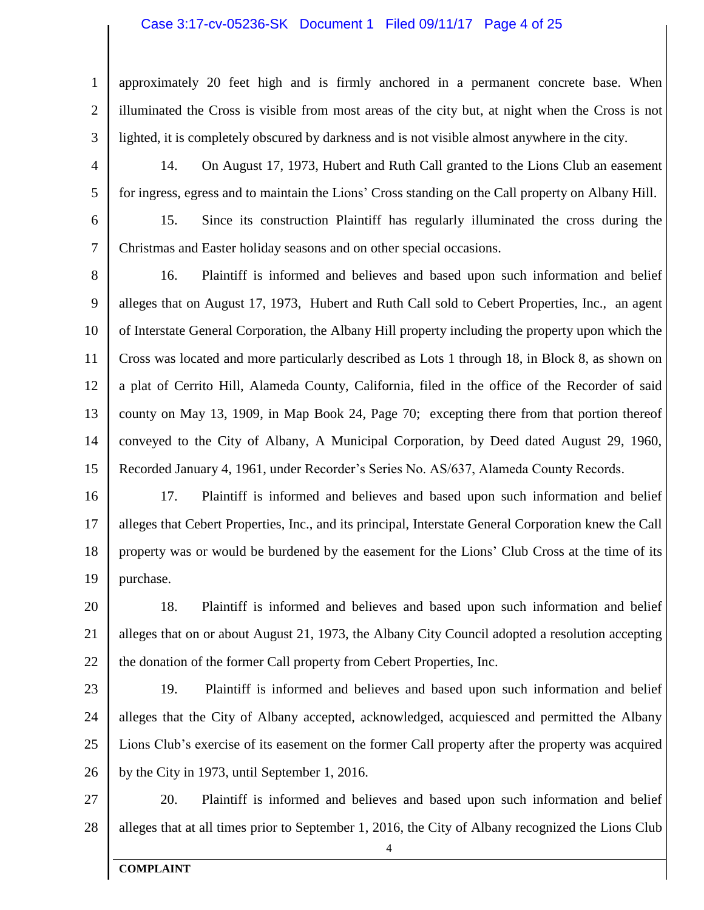#### Case 3:17-cv-05236-SK Document 1 Filed 09/11/17 Page 4 of 25

1 2 3 approximately 20 feet high and is firmly anchored in a permanent concrete base. When illuminated the Cross is visible from most areas of the city but, at night when the Cross is not lighted, it is completely obscured by darkness and is not visible almost anywhere in the city.

4

14. On August 17, 1973, Hubert and Ruth Call granted to the Lions Club an easement for ingress, egress and to maintain the Lions' Cross standing on the Call property on Albany Hill.

6

7

5

15. Since its construction Plaintiff has regularly illuminated the cross during the Christmas and Easter holiday seasons and on other special occasions.

8 9 10 11 12 13 14 15 16. Plaintiff is informed and believes and based upon such information and belief alleges that on August 17, 1973, Hubert and Ruth Call sold to Cebert Properties, Inc., an agent of Interstate General Corporation, the Albany Hill property including the property upon which the Cross was located and more particularly described as Lots 1 through 18, in Block 8, as shown on a plat of Cerrito Hill, Alameda County, California, filed in the office of the Recorder of said county on May 13, 1909, in Map Book 24, Page 70; excepting there from that portion thereof conveyed to the City of Albany, A Municipal Corporation, by Deed dated August 29, 1960, Recorded January 4, 1961, under Recorder's Series No. AS/637, Alameda County Records.

16 17 18 19 17. Plaintiff is informed and believes and based upon such information and belief alleges that Cebert Properties, Inc., and its principal, Interstate General Corporation knew the Call property was or would be burdened by the easement for the Lions' Club Cross at the time of its purchase.

20 21 22 18. Plaintiff is informed and believes and based upon such information and belief alleges that on or about August 21, 1973, the Albany City Council adopted a resolution accepting the donation of the former Call property from Cebert Properties, Inc.

23

24 25 26 19. Plaintiff is informed and believes and based upon such information and belief alleges that the City of Albany accepted, acknowledged, acquiesced and permitted the Albany Lions Club's exercise of its easement on the former Call property after the property was acquired by the City in 1973, until September 1, 2016.

27 28 20. Plaintiff is informed and believes and based upon such information and belief alleges that at all times prior to September 1, 2016, the City of Albany recognized the Lions Club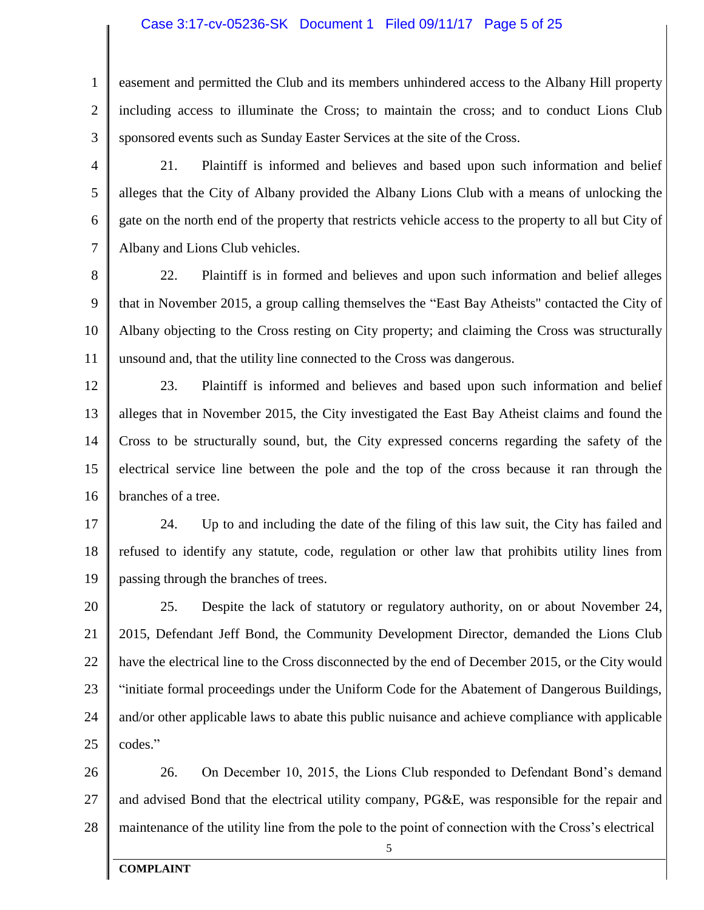#### Case 3:17-cv-05236-SK Document 1 Filed 09/11/17 Page 5 of 25

1 2 3 easement and permitted the Club and its members unhindered access to the Albany Hill property including access to illuminate the Cross; to maintain the cross; and to conduct Lions Club sponsored events such as Sunday Easter Services at the site of the Cross.

4

5

6

7

21. Plaintiff is informed and believes and based upon such information and belief alleges that the City of Albany provided the Albany Lions Club with a means of unlocking the gate on the north end of the property that restricts vehicle access to the property to all but City of Albany and Lions Club vehicles.

8 9 10 11 22. Plaintiff is in formed and believes and upon such information and belief alleges that in November 2015, a group calling themselves the "East Bay Atheists" contacted the City of Albany objecting to the Cross resting on City property; and claiming the Cross was structurally unsound and, that the utility line connected to the Cross was dangerous.

12 13 14 15 16 23. Plaintiff is informed and believes and based upon such information and belief alleges that in November 2015, the City investigated the East Bay Atheist claims and found the Cross to be structurally sound, but, the City expressed concerns regarding the safety of the electrical service line between the pole and the top of the cross because it ran through the branches of a tree.

17 18 19 24. Up to and including the date of the filing of this law suit, the City has failed and refused to identify any statute, code, regulation or other law that prohibits utility lines from passing through the branches of trees.

20 21 22 23 24 25 25. Despite the lack of statutory or regulatory authority, on or about November 24, 2015, Defendant Jeff Bond, the Community Development Director, demanded the Lions Club have the electrical line to the Cross disconnected by the end of December 2015, or the City would "initiate formal proceedings under the Uniform Code for the Abatement of Dangerous Buildings, and/or other applicable laws to abate this public nuisance and achieve compliance with applicable codes."

26 27 28 26. On December 10, 2015, the Lions Club responded to Defendant Bond's demand and advised Bond that the electrical utility company, PG&E, was responsible for the repair and maintenance of the utility line from the pole to the point of connection with the Cross's electrical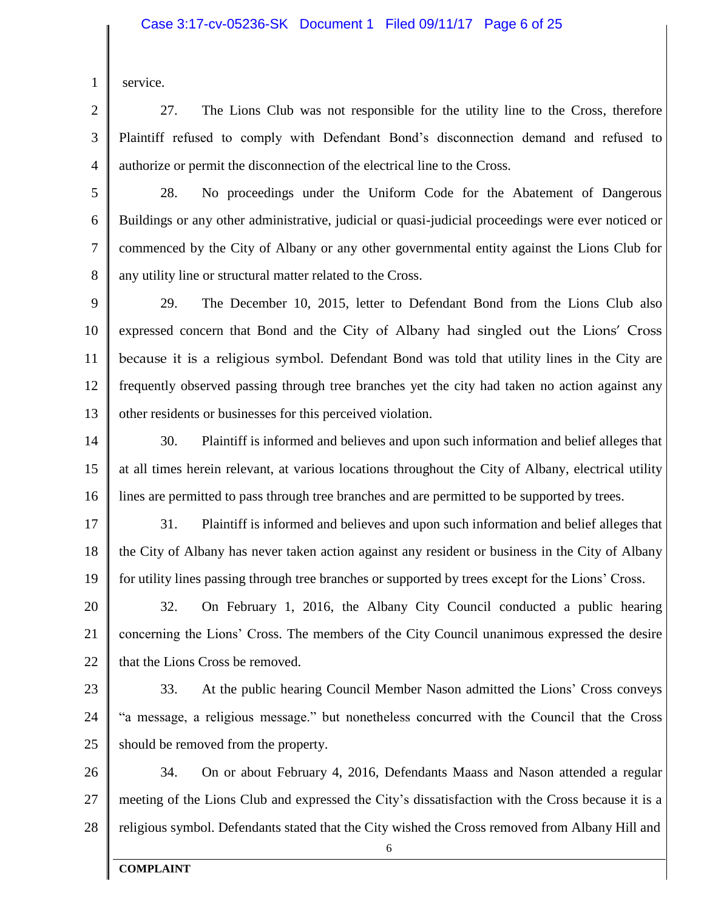#### Case 3:17-cv-05236-SK Document 1 Filed 09/11/17 Page 6 of 25

| service. |
|----------|

3 4 27. The Lions Club was not responsible for the utility line to the Cross, therefore Plaintiff refused to comply with Defendant Bond's disconnection demand and refused to authorize or permit the disconnection of the electrical line to the Cross.

5

6

7

8

2

28. No proceedings under the Uniform Code for the Abatement of Dangerous Buildings or any other administrative, judicial or quasi-judicial proceedings were ever noticed or commenced by the City of Albany or any other governmental entity against the Lions Club for any utility line or structural matter related to the Cross.

9 10 11 12 13 29. The December 10, 2015, letter to Defendant Bond from the Lions Club also expressed concern that Bond and the City of Albany had singled out the Lions' Cross because it is a religious symbol. Defendant Bond was told that utility lines in the City are frequently observed passing through tree branches yet the city had taken no action against any other residents or businesses for this perceived violation.

14 15 16 30. Plaintiff is informed and believes and upon such information and belief alleges that at all times herein relevant, at various locations throughout the City of Albany, electrical utility lines are permitted to pass through tree branches and are permitted to be supported by trees.

17 18 19 31. Plaintiff is informed and believes and upon such information and belief alleges that the City of Albany has never taken action against any resident or business in the City of Albany for utility lines passing through tree branches or supported by trees except for the Lions' Cross.

20 21 22 32. On February 1, 2016, the Albany City Council conducted a public hearing concerning the Lions' Cross. The members of the City Council unanimous expressed the desire that the Lions Cross be removed.

23

24

25

33. At the public hearing Council Member Nason admitted the Lions' Cross conveys "a message, a religious message." but nonetheless concurred with the Council that the Cross should be removed from the property.

26 27 28 34. On or about February 4, 2016, Defendants Maass and Nason attended a regular meeting of the Lions Club and expressed the City's dissatisfaction with the Cross because it is a religious symbol. Defendants stated that the City wished the Cross removed from Albany Hill and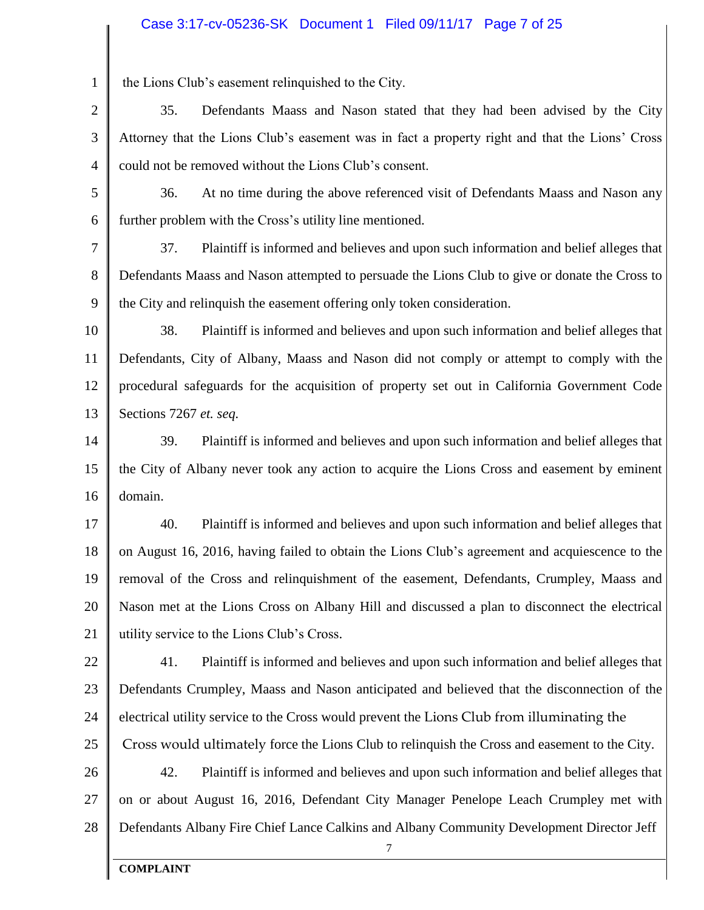#### Case 3:17-cv-05236-SK Document 1 Filed 09/11/17 Page 7 of 25

1 the Lions Club's easement relinquished to the City.

2 3 4 35. Defendants Maass and Nason stated that they had been advised by the City Attorney that the Lions Club's easement was in fact a property right and that the Lions' Cross could not be removed without the Lions Club's consent.

5 6 36. At no time during the above referenced visit of Defendants Maass and Nason any further problem with the Cross's utility line mentioned.

7 8 9 37. Plaintiff is informed and believes and upon such information and belief alleges that Defendants Maass and Nason attempted to persuade the Lions Club to give or donate the Cross to the City and relinquish the easement offering only token consideration.

10 11 12 13 38. Plaintiff is informed and believes and upon such information and belief alleges that Defendants, City of Albany, Maass and Nason did not comply or attempt to comply with the procedural safeguards for the acquisition of property set out in California Government Code Sections 7267 *et. seq.*

14 15 16 39. Plaintiff is informed and believes and upon such information and belief alleges that the City of Albany never took any action to acquire the Lions Cross and easement by eminent domain.

17 18 19 20 21 40. Plaintiff is informed and believes and upon such information and belief alleges that on August 16, 2016, having failed to obtain the Lions Club's agreement and acquiescence to the removal of the Cross and relinquishment of the easement, Defendants, Crumpley, Maass and Nason met at the Lions Cross on Albany Hill and discussed a plan to disconnect the electrical utility service to the Lions Club's Cross.

22 23 24 25 41. Plaintiff is informed and believes and upon such information and belief alleges that Defendants Crumpley, Maass and Nason anticipated and believed that the disconnection of the electrical utility service to the Cross would prevent the Lions Club from illuminating the Cross would ultimately force the Lions Club to relinquish the Cross and easement to the City.

26 27 28 42. Plaintiff is informed and believes and upon such information and belief alleges that on or about August 16, 2016, Defendant City Manager Penelope Leach Crumpley met with Defendants Albany Fire Chief Lance Calkins and Albany Community Development Director Jeff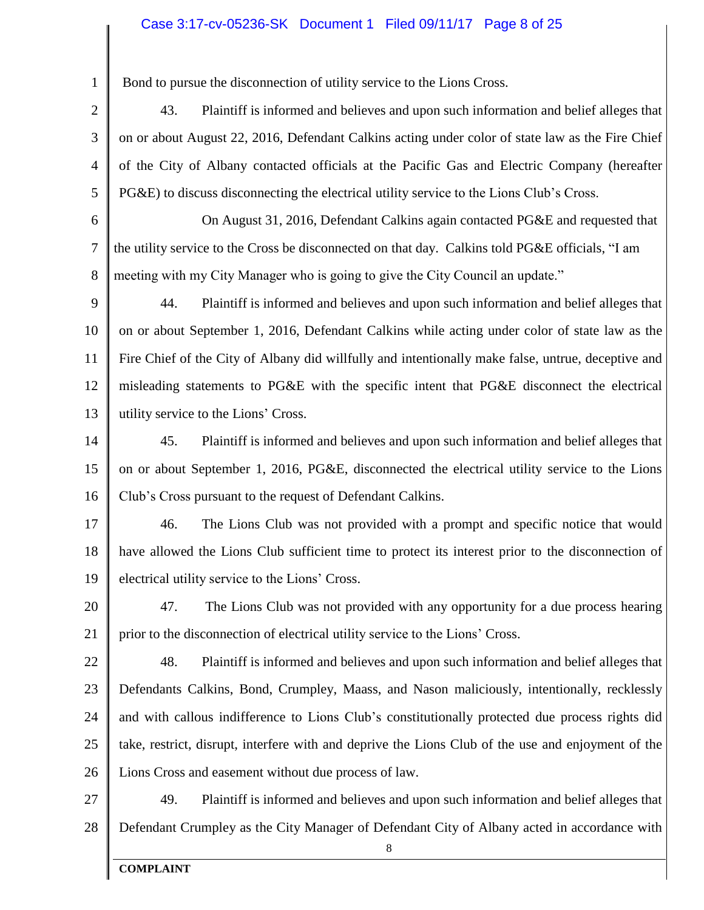#### Case 3:17-cv-05236-SK Document 1 Filed 09/11/17 Page 8 of 25

Bond to pursue the disconnection of utility service to the Lions Cross.

1

2 3 4 5 43. Plaintiff is informed and believes and upon such information and belief alleges that on or about August 22, 2016, Defendant Calkins acting under color of state law as the Fire Chief of the City of Albany contacted officials at the Pacific Gas and Electric Company (hereafter PG&E) to discuss disconnecting the electrical utility service to the Lions Club's Cross.

6 7 8 On August 31, 2016, Defendant Calkins again contacted PG&E and requested that the utility service to the Cross be disconnected on that day. Calkins told PG&E officials, "I am meeting with my City Manager who is going to give the City Council an update."

9 10 11 12 13 44. Plaintiff is informed and believes and upon such information and belief alleges that on or about September 1, 2016, Defendant Calkins while acting under color of state law as the Fire Chief of the City of Albany did willfully and intentionally make false, untrue, deceptive and misleading statements to PG&E with the specific intent that PG&E disconnect the electrical utility service to the Lions' Cross.

14 15 16 45. Plaintiff is informed and believes and upon such information and belief alleges that on or about September 1, 2016, PG&E, disconnected the electrical utility service to the Lions Club's Cross pursuant to the request of Defendant Calkins.

17 18 19 46. The Lions Club was not provided with a prompt and specific notice that would have allowed the Lions Club sufficient time to protect its interest prior to the disconnection of electrical utility service to the Lions' Cross.

20 21 47. The Lions Club was not provided with any opportunity for a due process hearing prior to the disconnection of electrical utility service to the Lions' Cross.

22 23 24 25 26 48. Plaintiff is informed and believes and upon such information and belief alleges that Defendants Calkins, Bond, Crumpley, Maass, and Nason maliciously, intentionally, recklessly and with callous indifference to Lions Club's constitutionally protected due process rights did take, restrict, disrupt, interfere with and deprive the Lions Club of the use and enjoyment of the Lions Cross and easement without due process of law.

27 28 49. Plaintiff is informed and believes and upon such information and belief alleges that Defendant Crumpley as the City Manager of Defendant City of Albany acted in accordance with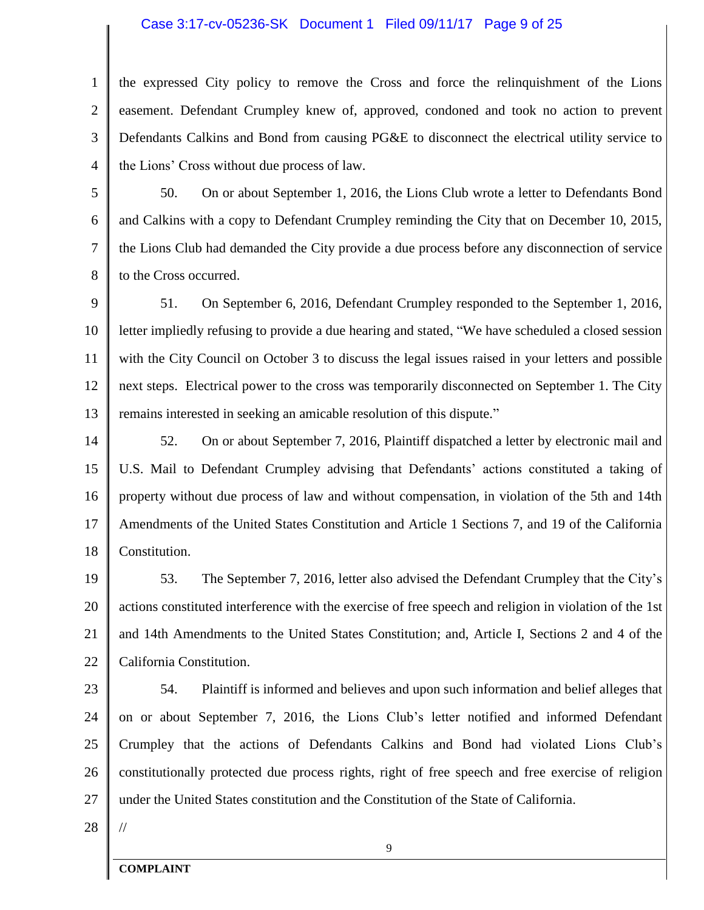#### Case 3:17-cv-05236-SK Document 1 Filed 09/11/17 Page 9 of 25

1 2 3 4 the expressed City policy to remove the Cross and force the relinquishment of the Lions easement. Defendant Crumpley knew of, approved, condoned and took no action to prevent Defendants Calkins and Bond from causing PG&E to disconnect the electrical utility service to the Lions' Cross without due process of law.

5 6 7 8 50. On or about September 1, 2016, the Lions Club wrote a letter to Defendants Bond and Calkins with a copy to Defendant Crumpley reminding the City that on December 10, 2015, the Lions Club had demanded the City provide a due process before any disconnection of service to the Cross occurred.

9 10 11 12 13 51. On September 6, 2016, Defendant Crumpley responded to the September 1, 2016, letter impliedly refusing to provide a due hearing and stated, "We have scheduled a closed session with the City Council on October 3 to discuss the legal issues raised in your letters and possible next steps. Electrical power to the cross was temporarily disconnected on September 1. The City remains interested in seeking an amicable resolution of this dispute."

14 15 16 17 18 52. On or about September 7, 2016, Plaintiff dispatched a letter by electronic mail and U.S. Mail to Defendant Crumpley advising that Defendants' actions constituted a taking of property without due process of law and without compensation, in violation of the 5th and 14th Amendments of the United States Constitution and Article 1 Sections 7, and 19 of the California Constitution.

19 20 21 22 53. The September 7, 2016, letter also advised the Defendant Crumpley that the City's actions constituted interference with the exercise of free speech and religion in violation of the 1st and 14th Amendments to the United States Constitution; and, Article I, Sections 2 and 4 of the California Constitution.

23

24 25 26 27 54. Plaintiff is informed and believes and upon such information and belief alleges that on or about September 7, 2016, the Lions Club's letter notified and informed Defendant Crumpley that the actions of Defendants Calkins and Bond had violated Lions Club's constitutionally protected due process rights, right of free speech and free exercise of religion under the United States constitution and the Constitution of the State of California.

28

//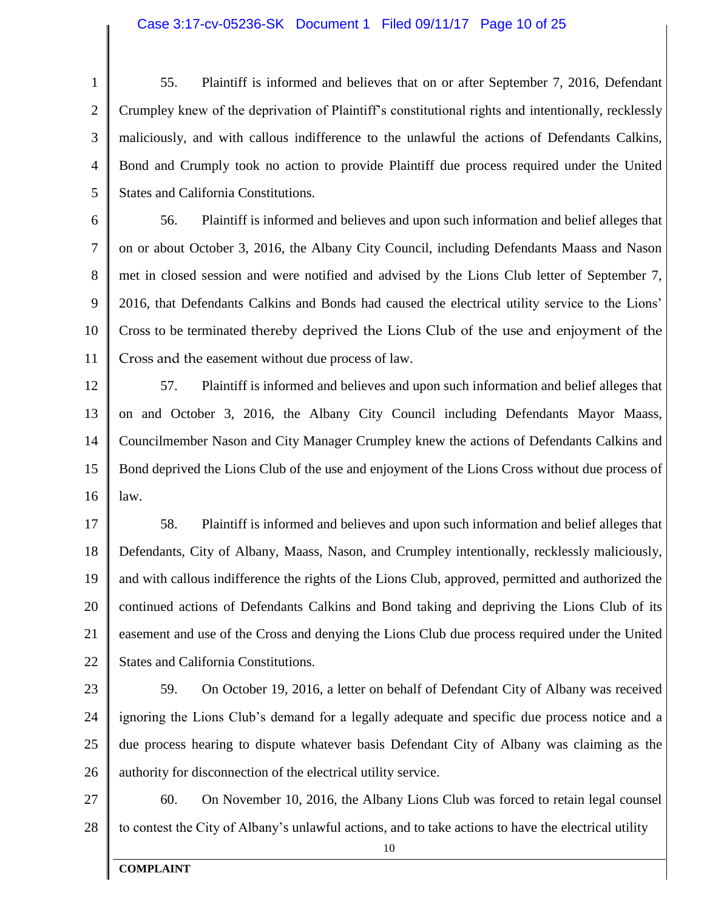#### Case 3:17-cv-05236-SK Document 1 Filed 09/11/17 Page 10 of 25

1 2 3 4 5 55. Plaintiff is informed and believes that on or after September 7, 2016, Defendant Crumpley knew of the deprivation of Plaintiff's constitutional rights and intentionally, recklessly maliciously, and with callous indifference to the unlawful the actions of Defendants Calkins, Bond and Crumply took no action to provide Plaintiff due process required under the United States and California Constitutions.

6 7 8 9 10 11 56. Plaintiff is informed and believes and upon such information and belief alleges that on or about October 3, 2016, the Albany City Council, including Defendants Maass and Nason met in closed session and were notified and advised by the Lions Club letter of September 7, 2016, that Defendants Calkins and Bonds had caused the electrical utility service to the Lions' Cross to be terminated thereby deprived the Lions Club of the use and enjoyment of the Cross and the easement without due process of law.

12 13 14 15 16 57. Plaintiff is informed and believes and upon such information and belief alleges that on and October 3, 2016, the Albany City Council including Defendants Mayor Maass, Councilmember Nason and City Manager Crumpley knew the actions of Defendants Calkins and Bond deprived the Lions Club of the use and enjoyment of the Lions Cross without due process of law.

17 18 19 20 21 22 58. Plaintiff is informed and believes and upon such information and belief alleges that Defendants, City of Albany, Maass, Nason, and Crumpley intentionally, recklessly maliciously, and with callous indifference the rights of the Lions Club, approved, permitted and authorized the continued actions of Defendants Calkins and Bond taking and depriving the Lions Club of its easement and use of the Cross and denying the Lions Club due process required under the United States and California Constitutions.

23

24 25 26 59. On October 19, 2016, a letter on behalf of Defendant City of Albany was received ignoring the Lions Club's demand for a legally adequate and specific due process notice and a due process hearing to dispute whatever basis Defendant City of Albany was claiming as the authority for disconnection of the electrical utility service.

27 28 60. On November 10, 2016, the Albany Lions Club was forced to retain legal counsel to contest the City of Albany's unlawful actions, and to take actions to have the electrical utility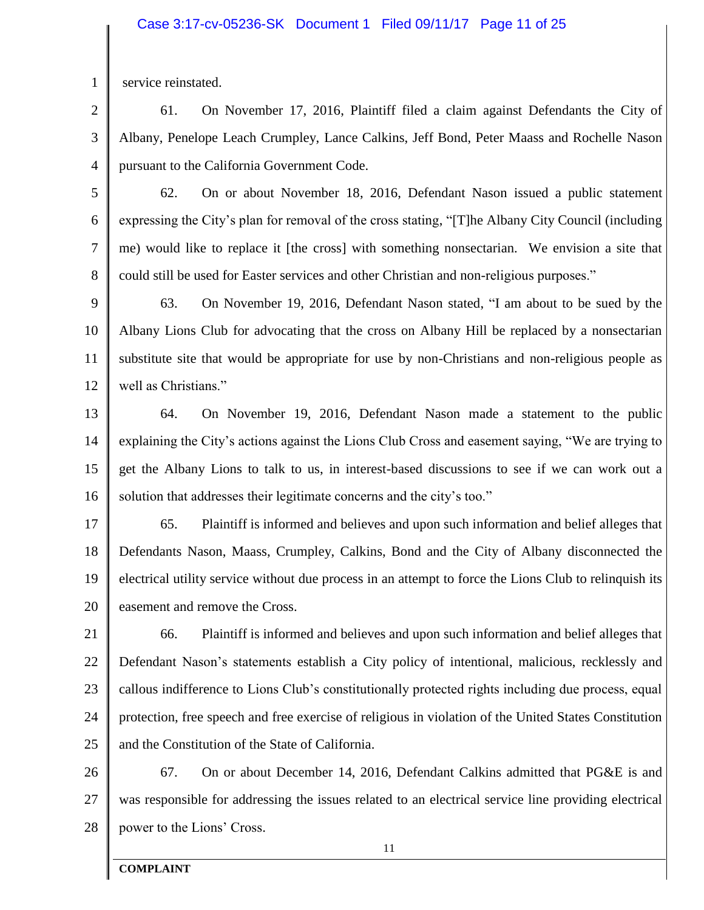#### Case 3:17-cv-05236-SK Document 1 Filed 09/11/17 Page 11 of 25

1 service reinstated.

2 3 4 61. On November 17, 2016, Plaintiff filed a claim against Defendants the City of Albany, Penelope Leach Crumpley, Lance Calkins, Jeff Bond, Peter Maass and Rochelle Nason pursuant to the California Government Code.

5 6 7 8 62. On or about November 18, 2016, Defendant Nason issued a public statement expressing the City's plan for removal of the cross stating, "[T]he Albany City Council (including me) would like to replace it [the cross] with something nonsectarian. We envision a site that could still be used for Easter services and other Christian and non-religious purposes."

9 10 11 12 63. On November 19, 2016, Defendant Nason stated, "I am about to be sued by the Albany Lions Club for advocating that the cross on Albany Hill be replaced by a nonsectarian substitute site that would be appropriate for use by non-Christians and non-religious people as well as Christians."

13 14 15 16 64. On November 19, 2016, Defendant Nason made a statement to the public explaining the City's actions against the Lions Club Cross and easement saying, "We are trying to get the Albany Lions to talk to us, in interest-based discussions to see if we can work out a solution that addresses their legitimate concerns and the city's too."

17 18 19 20 65. Plaintiff is informed and believes and upon such information and belief alleges that Defendants Nason, Maass, Crumpley, Calkins, Bond and the City of Albany disconnected the electrical utility service without due process in an attempt to force the Lions Club to relinquish its easement and remove the Cross.

21 22 23 24 25 66. Plaintiff is informed and believes and upon such information and belief alleges that Defendant Nason's statements establish a City policy of intentional, malicious, recklessly and callous indifference to Lions Club's constitutionally protected rights including due process, equal protection, free speech and free exercise of religious in violation of the United States Constitution and the Constitution of the State of California.

26 27 28 67. On or about December 14, 2016, Defendant Calkins admitted that PG&E is and was responsible for addressing the issues related to an electrical service line providing electrical power to the Lions' Cross.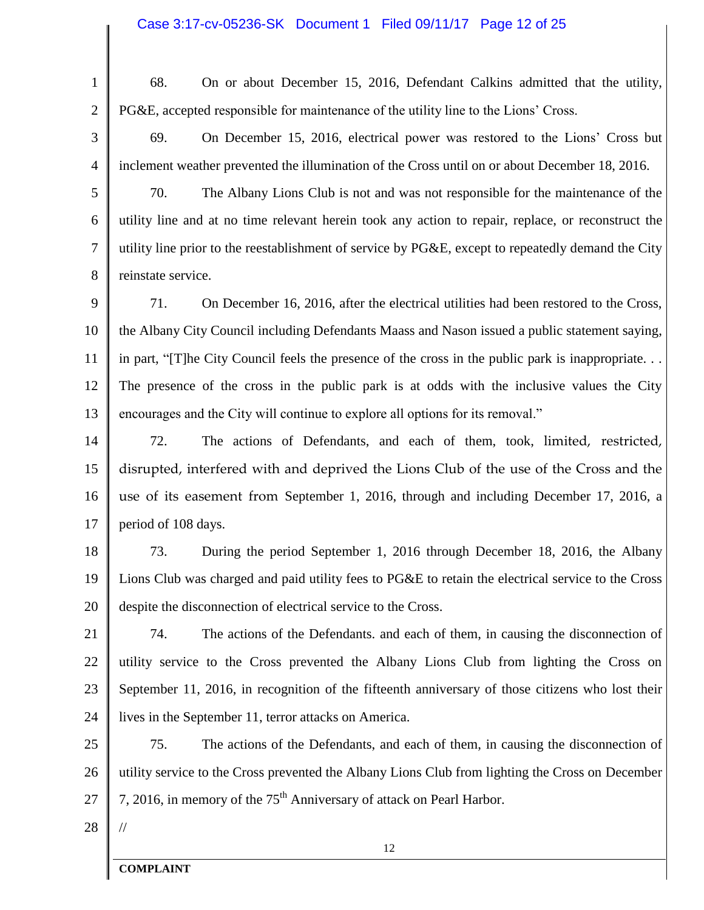2

1

68. On or about December 15, 2016, Defendant Calkins admitted that the utility, PG&E, accepted responsible for maintenance of the utility line to the Lions' Cross.

3 4 69. On December 15, 2016, electrical power was restored to the Lions' Cross but inclement weather prevented the illumination of the Cross until on or about December 18, 2016.

5 6 7 8 70. The Albany Lions Club is not and was not responsible for the maintenance of the utility line and at no time relevant herein took any action to repair, replace, or reconstruct the utility line prior to the reestablishment of service by PG&E, except to repeatedly demand the City reinstate service.

9 10 11 12 13 71. On December 16, 2016, after the electrical utilities had been restored to the Cross, the Albany City Council including Defendants Maass and Nason issued a public statement saying, in part, "[T]he City Council feels the presence of the cross in the public park is inappropriate. . . The presence of the cross in the public park is at odds with the inclusive values the City encourages and the City will continue to explore all options for its removal."

14 15 16 17 72. The actions of Defendants, and each of them, took, limited, restricted, disrupted, interfered with and deprived the Lions Club of the use of the Cross and the use of its easement from September 1, 2016, through and including December 17, 2016, a period of 108 days.

18 19 20 73. During the period September 1, 2016 through December 18, 2016, the Albany Lions Club was charged and paid utility fees to PG&E to retain the electrical service to the Cross despite the disconnection of electrical service to the Cross.

21 22 23 24 74. The actions of the Defendants. and each of them, in causing the disconnection of utility service to the Cross prevented the Albany Lions Club from lighting the Cross on September 11, 2016, in recognition of the fifteenth anniversary of those citizens who lost their lives in the September 11, terror attacks on America.

25 26 27 75. The actions of the Defendants, and each of them, in causing the disconnection of utility service to the Cross prevented the Albany Lions Club from lighting the Cross on December 7, 2016, in memory of the  $75<sup>th</sup>$  Anniversary of attack on Pearl Harbor.

28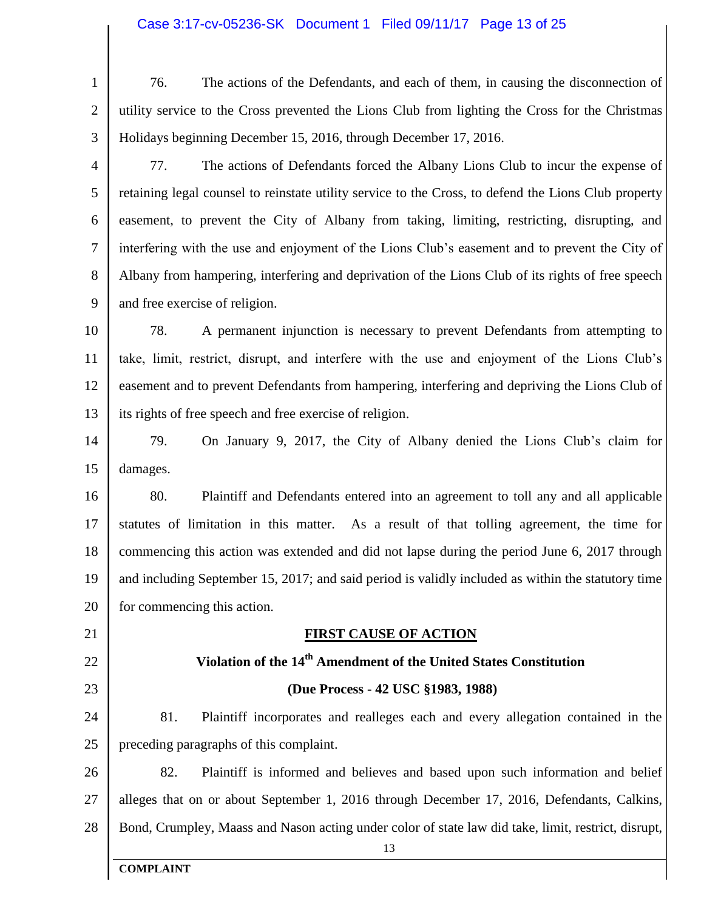#### Case 3:17-cv-05236-SK Document 1 Filed 09/11/17 Page 13 of 25

- 1 2 3 76. The actions of the Defendants, and each of them, in causing the disconnection of utility service to the Cross prevented the Lions Club from lighting the Cross for the Christmas Holidays beginning December 15, 2016, through December 17, 2016.
- 4

5 6 7 8 9 77. The actions of Defendants forced the Albany Lions Club to incur the expense of retaining legal counsel to reinstate utility service to the Cross, to defend the Lions Club property easement, to prevent the City of Albany from taking, limiting, restricting, disrupting, and interfering with the use and enjoyment of the Lions Club's easement and to prevent the City of Albany from hampering, interfering and deprivation of the Lions Club of its rights of free speech and free exercise of religion.

10 11 12 13 78. A permanent injunction is necessary to prevent Defendants from attempting to take, limit, restrict, disrupt, and interfere with the use and enjoyment of the Lions Club's easement and to prevent Defendants from hampering, interfering and depriving the Lions Club of its rights of free speech and free exercise of religion.

14 15 79. On January 9, 2017, the City of Albany denied the Lions Club's claim for damages.

16 17 18 19 20 80. Plaintiff and Defendants entered into an agreement to toll any and all applicable statutes of limitation in this matter. As a result of that tolling agreement, the time for commencing this action was extended and did not lapse during the period June 6, 2017 through and including September 15, 2017; and said period is validly included as within the statutory time for commencing this action.

21

22

#### 23

#### **(Due Process - 42 USC §1983, 1988)**

**FIRST CAUSE OF ACTION**

**Violation of the 14th Amendment of the United States Constitution**

24 25 81. Plaintiff incorporates and realleges each and every allegation contained in the preceding paragraphs of this complaint.

26 27 28 82. Plaintiff is informed and believes and based upon such information and belief alleges that on or about September 1, 2016 through December 17, 2016, Defendants, Calkins, Bond, Crumpley, Maass and Nason acting under color of state law did take, limit, restrict, disrupt,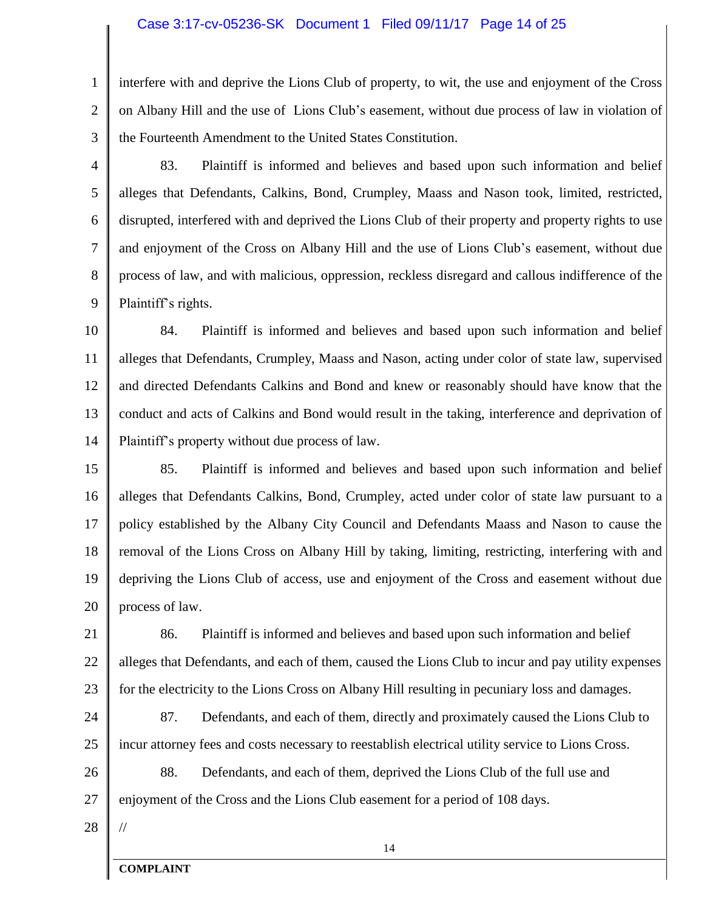1 2 3 interfere with and deprive the Lions Club of property, to wit, the use and enjoyment of the Cross on Albany Hill and the use of Lions Club's easement, without due process of law in violation of the Fourteenth Amendment to the United States Constitution.

4

5

6

7

8

9

83. Plaintiff is informed and believes and based upon such information and belief alleges that Defendants, Calkins, Bond, Crumpley, Maass and Nason took, limited, restricted, disrupted, interfered with and deprived the Lions Club of their property and property rights to use and enjoyment of the Cross on Albany Hill and the use of Lions Club's easement, without due process of law, and with malicious, oppression, reckless disregard and callous indifference of the Plaintiff's rights.

10 11 12 13 14 84. Plaintiff is informed and believes and based upon such information and belief alleges that Defendants, Crumpley, Maass and Nason, acting under color of state law, supervised and directed Defendants Calkins and Bond and knew or reasonably should have know that the conduct and acts of Calkins and Bond would result in the taking, interference and deprivation of Plaintiff's property without due process of law.

15 16 17 18 19 20 85. Plaintiff is informed and believes and based upon such information and belief alleges that Defendants Calkins, Bond, Crumpley, acted under color of state law pursuant to a policy established by the Albany City Council and Defendants Maass and Nason to cause the removal of the Lions Cross on Albany Hill by taking, limiting, restricting, interfering with and depriving the Lions Club of access, use and enjoyment of the Cross and easement without due process of law.

21 22 23 86. Plaintiff is informed and believes and based upon such information and belief alleges that Defendants, and each of them, caused the Lions Club to incur and pay utility expenses for the electricity to the Lions Cross on Albany Hill resulting in pecuniary loss and damages.

24 25 87. Defendants, and each of them, directly and proximately caused the Lions Club to incur attorney fees and costs necessary to reestablish electrical utility service to Lions Cross.

26 27 88. Defendants, and each of them, deprived the Lions Club of the full use and enjoyment of the Cross and the Lions Club easement for a period of 108 days.

28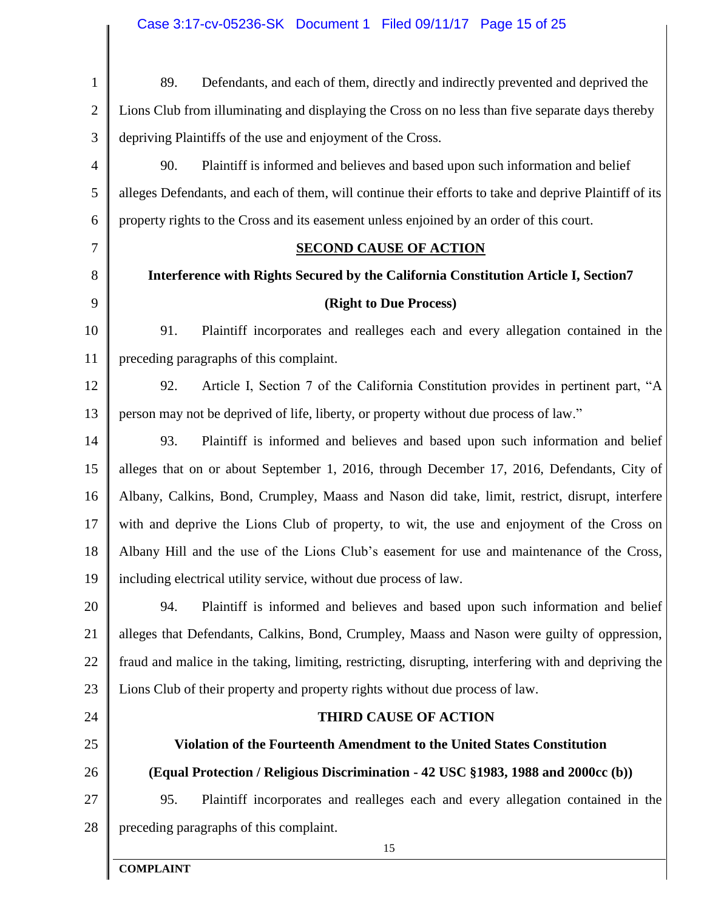| $\mathbf{1}$   | 89.<br>Defendants, and each of them, directly and indirectly prevented and deprived the                |  |
|----------------|--------------------------------------------------------------------------------------------------------|--|
| $\overline{2}$ | Lions Club from illuminating and displaying the Cross on no less than five separate days thereby       |  |
| 3              | depriving Plaintiffs of the use and enjoyment of the Cross.                                            |  |
| $\overline{4}$ | 90.<br>Plaintiff is informed and believes and based upon such information and belief                   |  |
| 5              | alleges Defendants, and each of them, will continue their efforts to take and deprive Plaintiff of its |  |
| 6              | property rights to the Cross and its easement unless enjoined by an order of this court.               |  |
| 7              | <b>SECOND CAUSE OF ACTION</b>                                                                          |  |
| 8              | Interference with Rights Secured by the California Constitution Article I, Section7                    |  |
| 9              | (Right to Due Process)                                                                                 |  |
| 10             | Plaintiff incorporates and realleges each and every allegation contained in the<br>91.                 |  |
| 11             | preceding paragraphs of this complaint.                                                                |  |
| 12             | Article I, Section 7 of the California Constitution provides in pertinent part, "A<br>92.              |  |
| 13             | person may not be deprived of life, liberty, or property without due process of law."                  |  |
| 14             | Plaintiff is informed and believes and based upon such information and belief<br>93.                   |  |
| 15             | alleges that on or about September 1, 2016, through December 17, 2016, Defendants, City of             |  |
| 16             | Albany, Calkins, Bond, Crumpley, Maass and Nason did take, limit, restrict, disrupt, interfere         |  |
| 17             | with and deprive the Lions Club of property, to wit, the use and enjoyment of the Cross on             |  |
| 18             | Albany Hill and the use of the Lions Club's easement for use and maintenance of the Cross,             |  |
| 19             | including electrical utility service, without due process of law.                                      |  |
| 20             | Plaintiff is informed and believes and based upon such information and belief<br>94.                   |  |
| 21             | alleges that Defendants, Calkins, Bond, Crumpley, Maass and Nason were guilty of oppression,           |  |
| 22             | fraud and malice in the taking, limiting, restricting, disrupting, interfering with and depriving the  |  |
| 23             | Lions Club of their property and property rights without due process of law.                           |  |
| 24             | <b>THIRD CAUSE OF ACTION</b>                                                                           |  |
| 25             | Violation of the Fourteenth Amendment to the United States Constitution                                |  |
| 26             | (Equal Protection / Religious Discrimination - 42 USC §1983, 1988 and 2000cc (b))                      |  |
| 27             | 95.<br>Plaintiff incorporates and realleges each and every allegation contained in the                 |  |
| 28             | preceding paragraphs of this complaint.                                                                |  |
|                | 15                                                                                                     |  |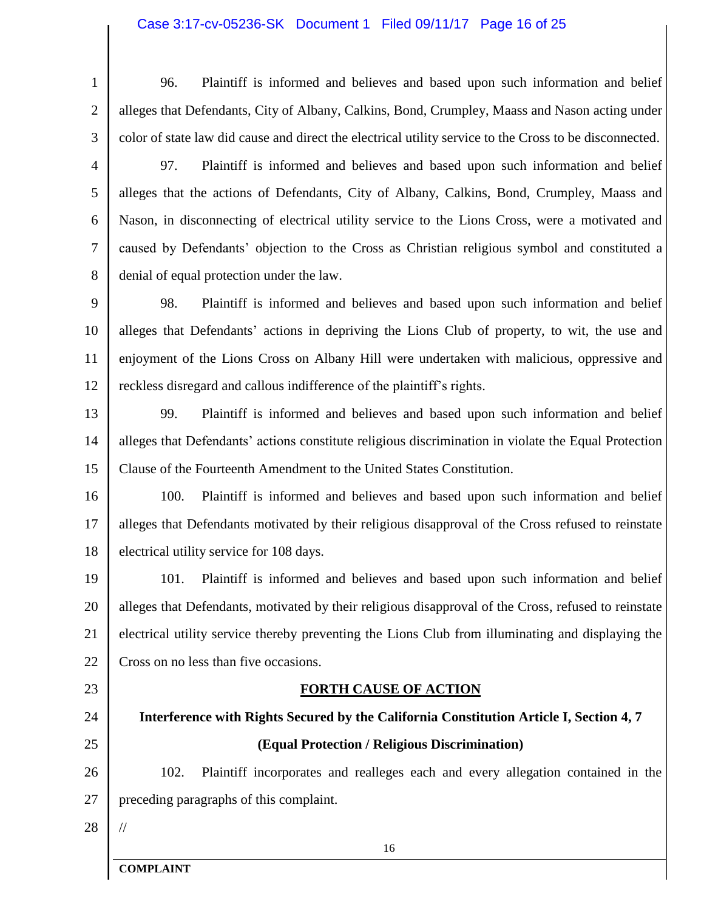2

1

96. Plaintiff is informed and believes and based upon such information and belief alleges that Defendants, City of Albany, Calkins, Bond, Crumpley, Maass and Nason acting under color of state law did cause and direct the electrical utility service to the Cross to be disconnected.

3 4

5

6

7

8

97. Plaintiff is informed and believes and based upon such information and belief alleges that the actions of Defendants, City of Albany, Calkins, Bond, Crumpley, Maass and Nason, in disconnecting of electrical utility service to the Lions Cross, were a motivated and caused by Defendants' objection to the Cross as Christian religious symbol and constituted a denial of equal protection under the law.

9 10 11 12 98. Plaintiff is informed and believes and based upon such information and belief alleges that Defendants' actions in depriving the Lions Club of property, to wit, the use and enjoyment of the Lions Cross on Albany Hill were undertaken with malicious, oppressive and reckless disregard and callous indifference of the plaintiff's rights.

13 14 15 99. Plaintiff is informed and believes and based upon such information and belief alleges that Defendants' actions constitute religious discrimination in violate the Equal Protection Clause of the Fourteenth Amendment to the United States Constitution.

16 17 18 100. Plaintiff is informed and believes and based upon such information and belief alleges that Defendants motivated by their religious disapproval of the Cross refused to reinstate electrical utility service for 108 days.

19 20 21 22 101. Plaintiff is informed and believes and based upon such information and belief alleges that Defendants, motivated by their religious disapproval of the Cross, refused to reinstate electrical utility service thereby preventing the Lions Club from illuminating and displaying the Cross on no less than five occasions.

23

24

25

### **FORTH CAUSE OF ACTION**

# **Interference with Rights Secured by the California Constitution Article I, Section 4, 7 (Equal Protection / Religious Discrimination)**

26 27 102. Plaintiff incorporates and realleges each and every allegation contained in the preceding paragraphs of this complaint.

28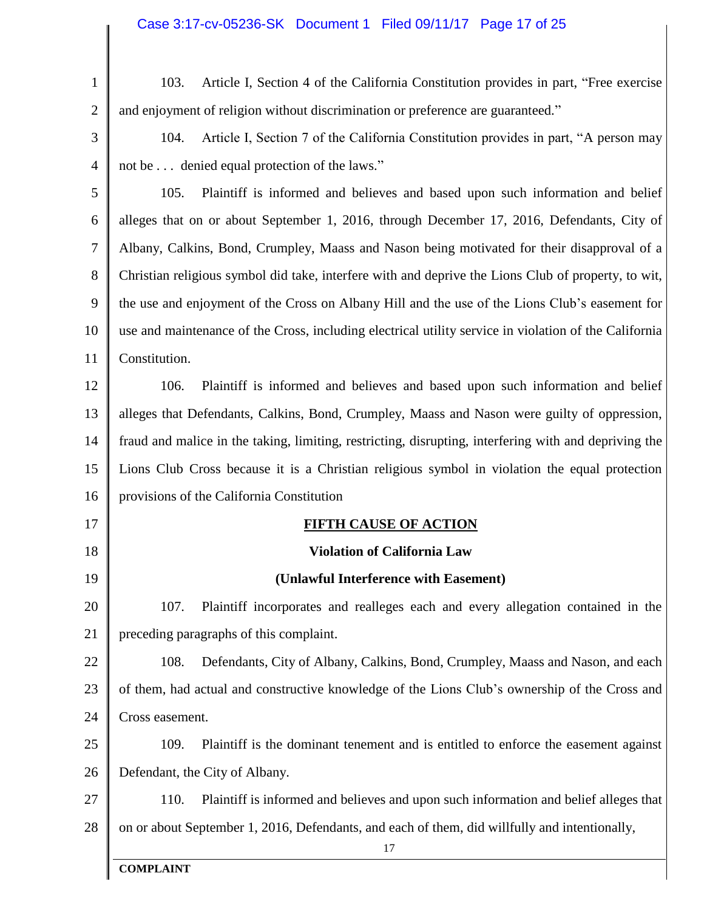| $\mathbf{1}$   | Article I, Section 4 of the California Constitution provides in part, "Free exercise<br>103.          |
|----------------|-------------------------------------------------------------------------------------------------------|
| $\overline{2}$ | and enjoyment of religion without discrimination or preference are guaranteed."                       |
| 3              | Article I, Section 7 of the California Constitution provides in part, "A person may<br>104.           |
| $\overline{4}$ | not be denied equal protection of the laws."                                                          |
| 5              | Plaintiff is informed and believes and based upon such information and belief<br>105.                 |
| 6              | alleges that on or about September 1, 2016, through December 17, 2016, Defendants, City of            |
| 7              | Albany, Calkins, Bond, Crumpley, Maass and Nason being motivated for their disapproval of a           |
| 8              | Christian religious symbol did take, interfere with and deprive the Lions Club of property, to wit,   |
| 9              | the use and enjoyment of the Cross on Albany Hill and the use of the Lions Club's easement for        |
| 10             | use and maintenance of the Cross, including electrical utility service in violation of the California |
| 11             | Constitution.                                                                                         |
| 12             | Plaintiff is informed and believes and based upon such information and belief<br>106.                 |
| 13             | alleges that Defendants, Calkins, Bond, Crumpley, Maass and Nason were guilty of oppression,          |
| 14             | fraud and malice in the taking, limiting, restricting, disrupting, interfering with and depriving the |
| 15             | Lions Club Cross because it is a Christian religious symbol in violation the equal protection         |
| 16             | provisions of the California Constitution                                                             |
| 17             | <b>FIFTH CAUSE OF ACTION</b>                                                                          |
| 18             | Violation of California Law                                                                           |
| 19             | (Unlawful Interference with Easement)                                                                 |
| 20             | 107.<br>Plaintiff incorporates and realleges each and every allegation contained in the               |
| 21             | preceding paragraphs of this complaint.                                                               |
| 22             | 108.<br>Defendants, City of Albany, Calkins, Bond, Crumpley, Maass and Nason, and each                |
| 23             | of them, had actual and constructive knowledge of the Lions Club's ownership of the Cross and         |
| 24             | Cross easement.                                                                                       |
| 25             | 109.<br>Plaintiff is the dominant tenement and is entitled to enforce the easement against            |
| 26             | Defendant, the City of Albany.                                                                        |
| 27             | 110.<br>Plaintiff is informed and believes and upon such information and belief alleges that          |
| 28             | on or about September 1, 2016, Defendants, and each of them, did willfully and intentionally,<br>17   |
|                | <b>COMPLAINT</b>                                                                                      |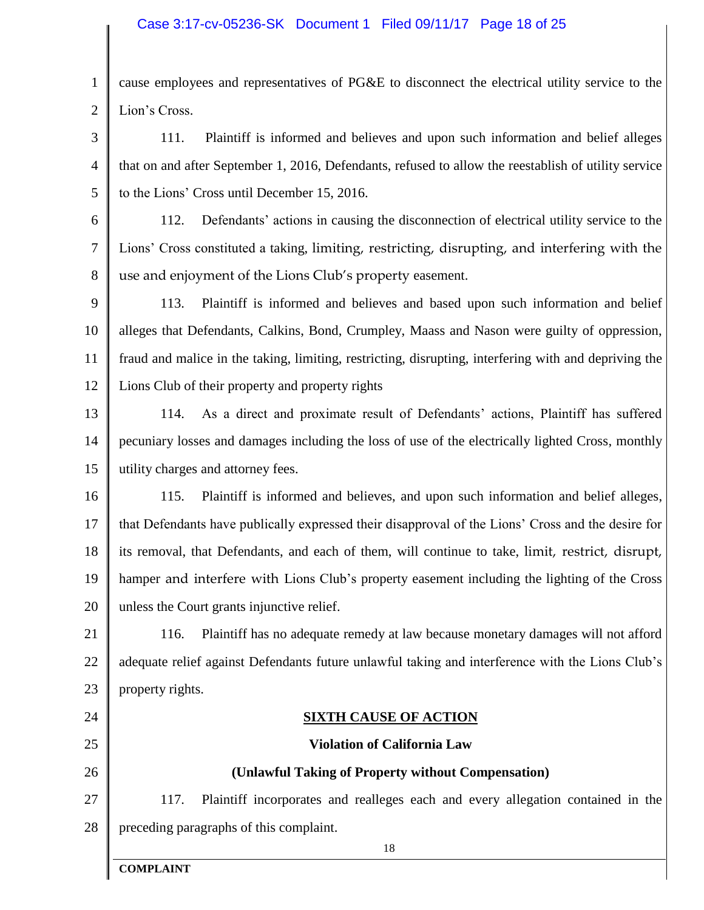1 2 cause employees and representatives of PG&E to disconnect the electrical utility service to the Lion's Cross.

3 4 5 111. Plaintiff is informed and believes and upon such information and belief alleges that on and after September 1, 2016, Defendants, refused to allow the reestablish of utility service to the Lions' Cross until December 15, 2016.

6

7 8 112. Defendants' actions in causing the disconnection of electrical utility service to the Lions' Cross constituted a taking, limiting, restricting, disrupting, and interfering with the use and enjoyment of the Lions Club's property easement.

9 10 11 12 113. Plaintiff is informed and believes and based upon such information and belief alleges that Defendants, Calkins, Bond, Crumpley, Maass and Nason were guilty of oppression, fraud and malice in the taking, limiting, restricting, disrupting, interfering with and depriving the Lions Club of their property and property rights

13 14 15 114. As a direct and proximate result of Defendants' actions, Plaintiff has suffered pecuniary losses and damages including the loss of use of the electrically lighted Cross, monthly utility charges and attorney fees.

16 17 18 19 20 115. Plaintiff is informed and believes, and upon such information and belief alleges, that Defendants have publically expressed their disapproval of the Lions' Cross and the desire for its removal, that Defendants, and each of them, will continue to take, limit, restrict, disrupt, hamper and interfere with Lions Club's property easement including the lighting of the Cross unless the Court grants injunctive relief.

21 22 23 116. Plaintiff has no adequate remedy at law because monetary damages will not afford adequate relief against Defendants future unlawful taking and interference with the Lions Club's property rights.

## **SIXTH CAUSE OF ACTION**

# 25 26

24

## **(Unlawful Taking of Property without Compensation)**

**Violation of California Law**

27 28 117. Plaintiff incorporates and realleges each and every allegation contained in the preceding paragraphs of this complaint.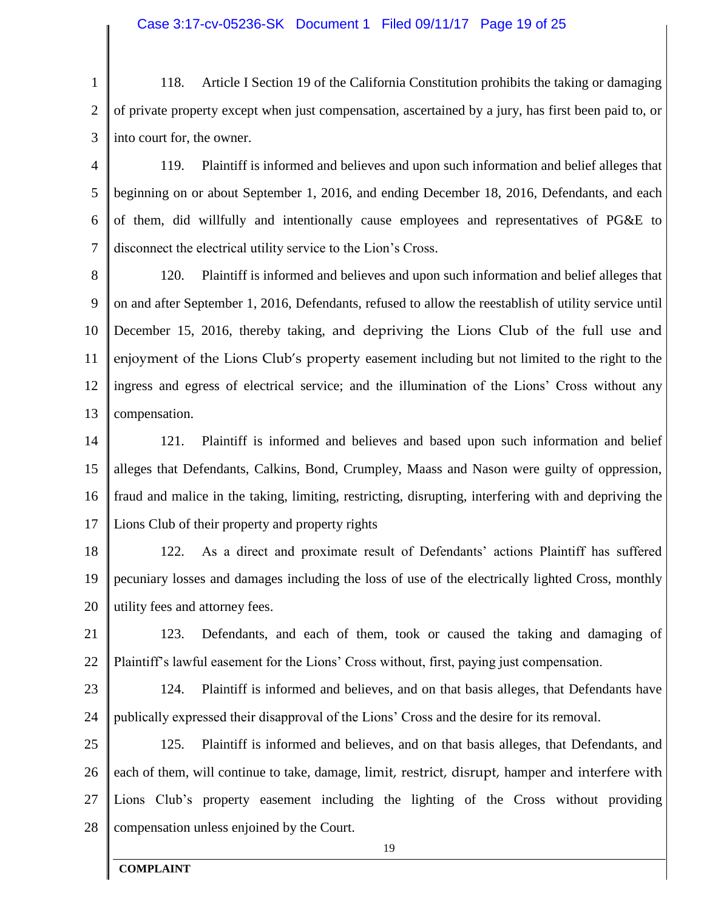1 2 3 118. Article I Section 19 of the California Constitution prohibits the taking or damaging of private property except when just compensation, ascertained by a jury, has first been paid to, or into court for, the owner.

4 5 6 7 119. Plaintiff is informed and believes and upon such information and belief alleges that beginning on or about September 1, 2016, and ending December 18, 2016, Defendants, and each of them, did willfully and intentionally cause employees and representatives of PG&E to disconnect the electrical utility service to the Lion's Cross.

8 9 10 11 12 13 120. Plaintiff is informed and believes and upon such information and belief alleges that on and after September 1, 2016, Defendants, refused to allow the reestablish of utility service until December 15, 2016, thereby taking, and depriving the Lions Club of the full use and enjoyment of the Lions Club's property easement including but not limited to the right to the ingress and egress of electrical service; and the illumination of the Lions' Cross without any compensation.

14 15 16 17 121. Plaintiff is informed and believes and based upon such information and belief alleges that Defendants, Calkins, Bond, Crumpley, Maass and Nason were guilty of oppression, fraud and malice in the taking, limiting, restricting, disrupting, interfering with and depriving the Lions Club of their property and property rights

18 19 20 122. As a direct and proximate result of Defendants' actions Plaintiff has suffered pecuniary losses and damages including the loss of use of the electrically lighted Cross, monthly utility fees and attorney fees.

21 22 123. Defendants, and each of them, took or caused the taking and damaging of Plaintiff's lawful easement for the Lions' Cross without, first, paying just compensation.

23 24 124. Plaintiff is informed and believes, and on that basis alleges, that Defendants have publically expressed their disapproval of the Lions' Cross and the desire for its removal.

25 26 27 28 125. Plaintiff is informed and believes, and on that basis alleges, that Defendants, and each of them, will continue to take, damage, limit, restrict, disrupt, hamper and interfere with Lions Club's property easement including the lighting of the Cross without providing compensation unless enjoined by the Court.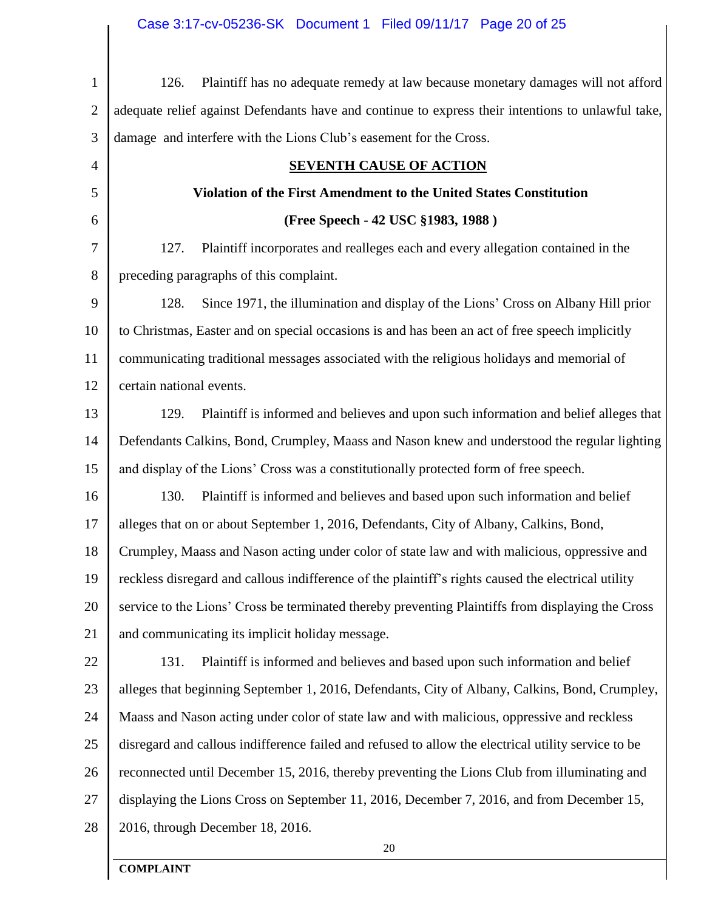| $\mathbf{1}$   | Plaintiff has no adequate remedy at law because monetary damages will not afford<br>126.            |
|----------------|-----------------------------------------------------------------------------------------------------|
| $\mathbf{2}$   | adequate relief against Defendants have and continue to express their intentions to unlawful take,  |
| 3              | damage and interfere with the Lions Club's easement for the Cross.                                  |
| $\overline{4}$ | <b>SEVENTH CAUSE OF ACTION</b>                                                                      |
| 5              | Violation of the First Amendment to the United States Constitution                                  |
| 6              | (Free Speech - 42 USC §1983, 1988)                                                                  |
| $\tau$         | 127.<br>Plaintiff incorporates and realleges each and every allegation contained in the             |
| 8              | preceding paragraphs of this complaint.                                                             |
| 9              | Since 1971, the illumination and display of the Lions' Cross on Albany Hill prior<br>128.           |
| 10             | to Christmas, Easter and on special occasions is and has been an act of free speech implicitly      |
| 11             | communicating traditional messages associated with the religious holidays and memorial of           |
| 12             | certain national events.                                                                            |
| 13             | Plaintiff is informed and believes and upon such information and belief alleges that<br>129.        |
| 14             | Defendants Calkins, Bond, Crumpley, Maass and Nason knew and understood the regular lighting        |
| 15             | and display of the Lions' Cross was a constitutionally protected form of free speech.               |
| 16             | 130.<br>Plaintiff is informed and believes and based upon such information and belief               |
| 17             | alleges that on or about September 1, 2016, Defendants, City of Albany, Calkins, Bond,              |
| 18             | Crumpley, Maass and Nason acting under color of state law and with malicious, oppressive and        |
| 19             | reckless disregard and callous indifference of the plaintiff's rights caused the electrical utility |
| 20             | service to the Lions' Cross be terminated thereby preventing Plaintiffs from displaying the Cross   |
| 21             | and communicating its implicit holiday message.                                                     |
| 22             | Plaintiff is informed and believes and based upon such information and belief<br>131.               |
| 23             | alleges that beginning September 1, 2016, Defendants, City of Albany, Calkins, Bond, Crumpley,      |
| 24             | Maass and Nason acting under color of state law and with malicious, oppressive and reckless         |
| 25             | disregard and callous indifference failed and refused to allow the electrical utility service to be |
| 26             | reconnected until December 15, 2016, thereby preventing the Lions Club from illuminating and        |
| 27             | displaying the Lions Cross on September 11, 2016, December 7, 2016, and from December 15,           |
| 28             | 2016, through December 18, 2016.                                                                    |
|                | 20                                                                                                  |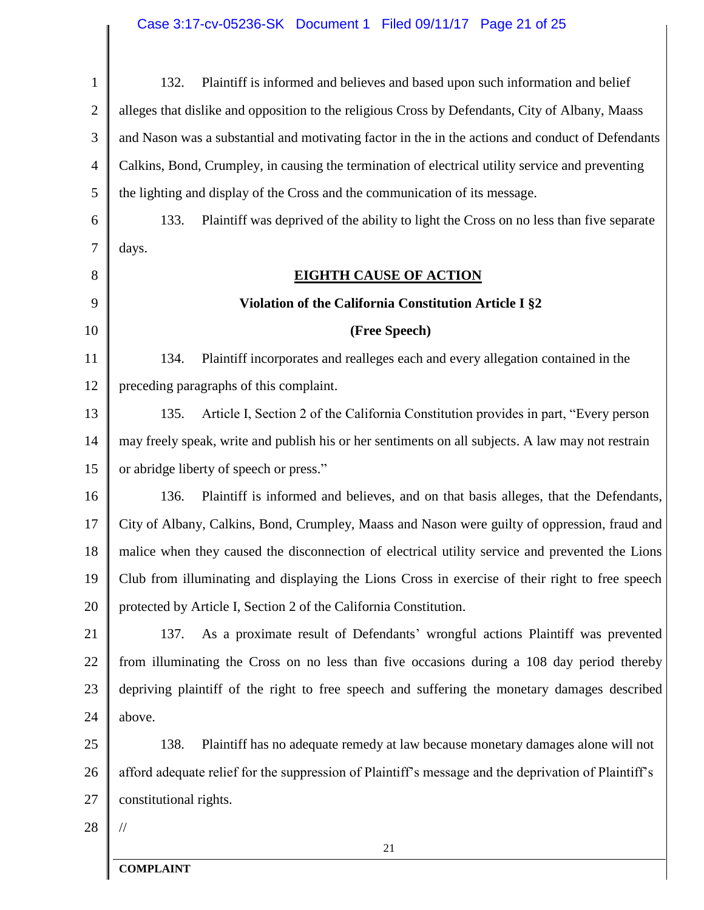| $\mathbf{1}$   | Plaintiff is informed and believes and based upon such information and belief<br>132.                |
|----------------|------------------------------------------------------------------------------------------------------|
| $\mathbf{2}$   | alleges that dislike and opposition to the religious Cross by Defendants, City of Albany, Maass      |
| 3              | and Nason was a substantial and motivating factor in the in the actions and conduct of Defendants    |
| 4              | Calkins, Bond, Crumpley, in causing the termination of electrical utility service and preventing     |
| 5              | the lighting and display of the Cross and the communication of its message.                          |
| 6              | Plaintiff was deprived of the ability to light the Cross on no less than five separate<br>133.       |
| $\overline{7}$ | days.                                                                                                |
| 8              | <b>EIGHTH CAUSE OF ACTION</b>                                                                        |
| 9              | Violation of the California Constitution Article I §2                                                |
| 10             | (Free Speech)                                                                                        |
| 11             | Plaintiff incorporates and realleges each and every allegation contained in the<br>134.              |
| 12             | preceding paragraphs of this complaint.                                                              |
| 13             | Article I, Section 2 of the California Constitution provides in part, "Every person<br>135.          |
| 14             | may freely speak, write and publish his or her sentiments on all subjects. A law may not restrain    |
| 15             | or abridge liberty of speech or press."                                                              |
| 16             | Plaintiff is informed and believes, and on that basis alleges, that the Defendants,<br>136.          |
| 17             | City of Albany, Calkins, Bond, Crumpley, Maass and Nason were guilty of oppression, fraud and        |
| 18             | malice when they caused the disconnection of electrical utility service and prevented the Lions      |
| 19             | Club from illuminating and displaying the Lions Cross in exercise of their right to free speech      |
| 20             | protected by Article I, Section 2 of the California Constitution.                                    |
| 21             | As a proximate result of Defendants' wrongful actions Plaintiff was prevented<br>137.                |
| 22             | from illuminating the Cross on no less than five occasions during a 108 day period thereby           |
| 23             | depriving plaintiff of the right to free speech and suffering the monetary damages described         |
| 24             | above.                                                                                               |
| 25             | Plaintiff has no adequate remedy at law because monetary damages alone will not<br>138.              |
| 26             | afford adequate relief for the suppression of Plaintiff's message and the deprivation of Plaintiff's |
| 27             | constitutional rights.                                                                               |
| 28             | $\frac{1}{2}$                                                                                        |
|                | 21                                                                                                   |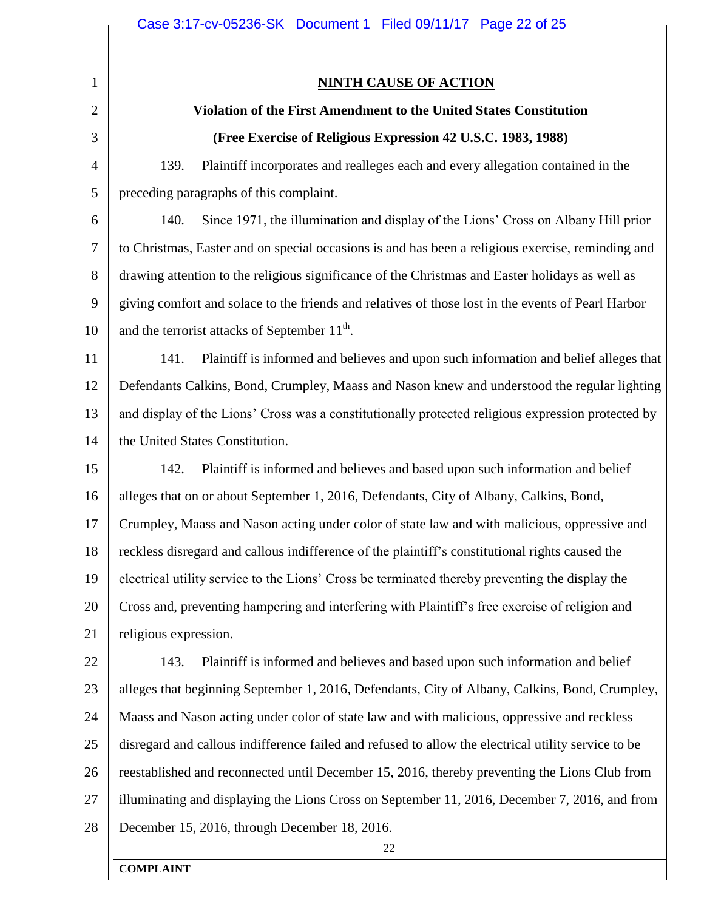| $\mathbf{1}$ | <b>NINTH CAUSE OF ACTION</b>                                                                        |
|--------------|-----------------------------------------------------------------------------------------------------|
| 2            | Violation of the First Amendment to the United States Constitution                                  |
| 3            | (Free Exercise of Religious Expression 42 U.S.C. 1983, 1988)                                        |
| 4            | Plaintiff incorporates and realleges each and every allegation contained in the<br>139.             |
| 5            | preceding paragraphs of this complaint.                                                             |
| 6            | Since 1971, the illumination and display of the Lions' Cross on Albany Hill prior<br>140.           |
| 7            | to Christmas, Easter and on special occasions is and has been a religious exercise, reminding and   |
| 8            | drawing attention to the religious significance of the Christmas and Easter holidays as well as     |
| 9            | giving comfort and solace to the friends and relatives of those lost in the events of Pearl Harbor  |
| 10           | and the terrorist attacks of September 11 <sup>th</sup> .                                           |
| 11           | Plaintiff is informed and believes and upon such information and belief alleges that<br>141.        |
| 12           | Defendants Calkins, Bond, Crumpley, Maass and Nason knew and understood the regular lighting        |
| 13           | and display of the Lions' Cross was a constitutionally protected religious expression protected by  |
| 14           | the United States Constitution.                                                                     |
| 15           | 142.<br>Plaintiff is informed and believes and based upon such information and belief               |
| 16           | alleges that on or about September 1, 2016, Defendants, City of Albany, Calkins, Bond,              |
| 17           | Crumpley, Maass and Nason acting under color of state law and with malicious, oppressive and        |
| 18           | reckless disregard and callous indifference of the plaintiff's constitutional rights caused the     |
| 19           | electrical utility service to the Lions' Cross be terminated thereby preventing the display the     |
| 20           | Cross and, preventing hampering and interfering with Plaintiff's free exercise of religion and      |
| 21           | religious expression.                                                                               |
| 22           | Plaintiff is informed and believes and based upon such information and belief<br>143.               |
| 23           | alleges that beginning September 1, 2016, Defendants, City of Albany, Calkins, Bond, Crumpley,      |
| 24           | Maass and Nason acting under color of state law and with malicious, oppressive and reckless         |
| 25           | disregard and callous indifference failed and refused to allow the electrical utility service to be |
| 26           | reestablished and reconnected until December 15, 2016, thereby preventing the Lions Club from       |
| 27           | illuminating and displaying the Lions Cross on September 11, 2016, December 7, 2016, and from       |
| 28           | December 15, 2016, through December 18, 2016.                                                       |
|              | 22                                                                                                  |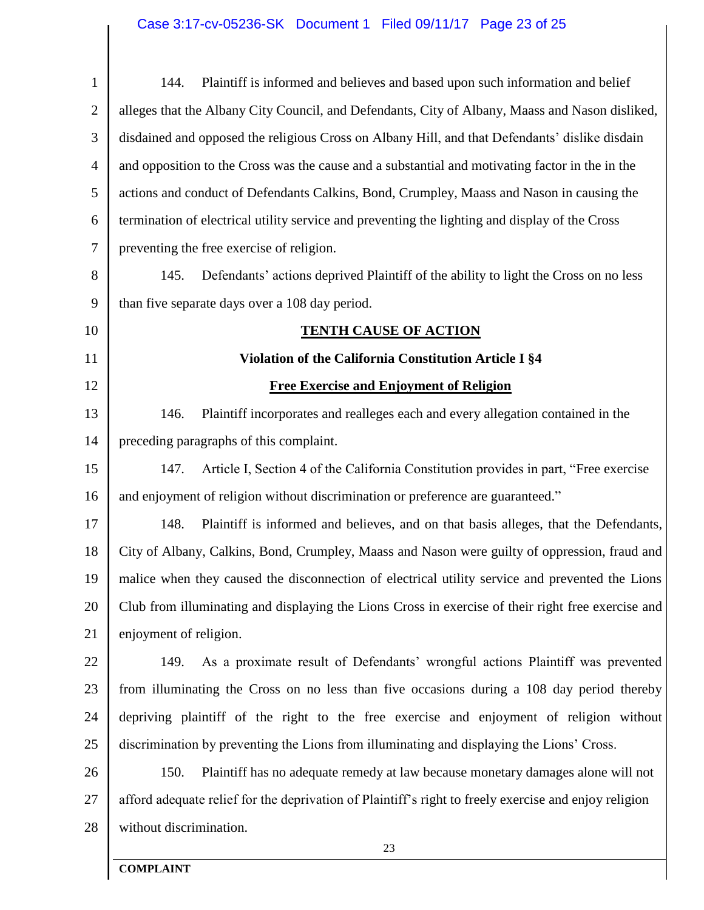| $\mathbf{1}$   | Plaintiff is informed and believes and based upon such information and belief<br>144.                 |
|----------------|-------------------------------------------------------------------------------------------------------|
| $\overline{2}$ | alleges that the Albany City Council, and Defendants, City of Albany, Maass and Nason disliked,       |
| 3              | disdained and opposed the religious Cross on Albany Hill, and that Defendants' dislike disdain        |
| 4              | and opposition to the Cross was the cause and a substantial and motivating factor in the in the       |
| 5              | actions and conduct of Defendants Calkins, Bond, Crumpley, Maass and Nason in causing the             |
| 6              | termination of electrical utility service and preventing the lighting and display of the Cross        |
| 7              | preventing the free exercise of religion.                                                             |
| 8              | Defendants' actions deprived Plaintiff of the ability to light the Cross on no less<br>145.           |
| 9              | than five separate days over a 108 day period.                                                        |
| 10             | <b>TENTH CAUSE OF ACTION</b>                                                                          |
| 11             | Violation of the California Constitution Article I §4                                                 |
| 12             | <b>Free Exercise and Enjoyment of Religion</b>                                                        |
| 13             | 146.<br>Plaintiff incorporates and realleges each and every allegation contained in the               |
| 14             | preceding paragraphs of this complaint.                                                               |
| 15             | Article I, Section 4 of the California Constitution provides in part, "Free exercise"<br>147.         |
| 16             | and enjoyment of religion without discrimination or preference are guaranteed."                       |
| 17             | Plaintiff is informed and believes, and on that basis alleges, that the Defendants,<br>148.           |
| 18             | City of Albany, Calkins, Bond, Crumpley, Maass and Nason were guilty of oppression, fraud and         |
| 19             | malice when they caused the disconnection of electrical utility service and prevented the Lions       |
| 20             | Club from illuminating and displaying the Lions Cross in exercise of their right free exercise and    |
| 21             | enjoyment of religion.                                                                                |
| 22             | As a proximate result of Defendants' wrongful actions Plaintiff was prevented<br>149.                 |
| 23             | from illuminating the Cross on no less than five occasions during a 108 day period thereby            |
| 24             | depriving plaintiff of the right to the free exercise and enjoyment of religion without               |
| 25             | discrimination by preventing the Lions from illuminating and displaying the Lions' Cross.             |
| 26             | Plaintiff has no adequate remedy at law because monetary damages alone will not<br>150.               |
| 27             | afford adequate relief for the deprivation of Plaintiff's right to freely exercise and enjoy religion |
| 28             | without discrimination.                                                                               |
|                | 23                                                                                                    |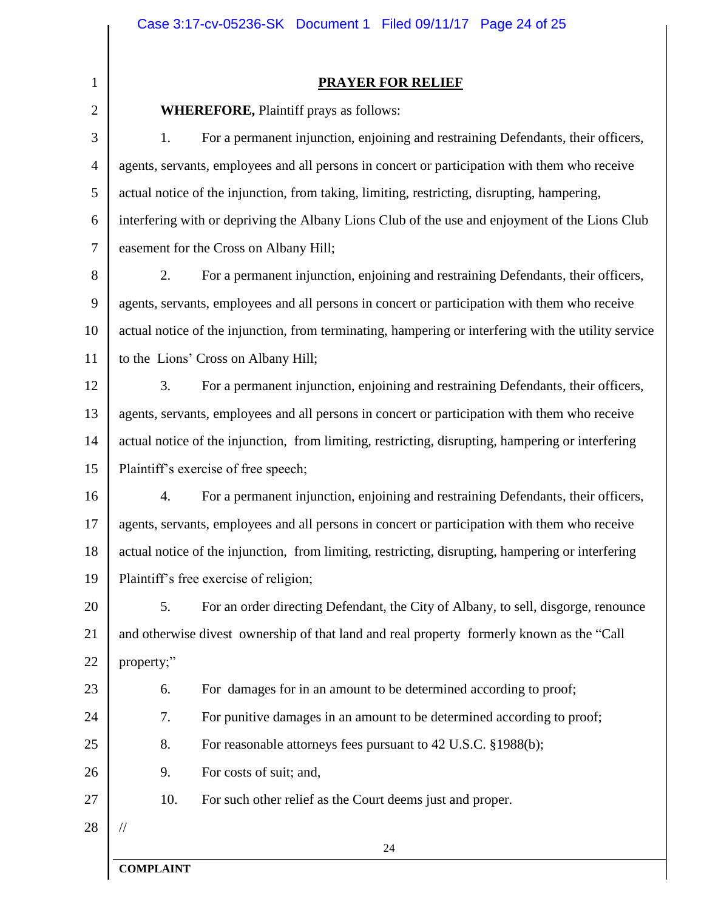1 2

# **PRAYER FOR RELIEF**

**WHEREFORE,** Plaintiff prays as follows:

3 4 5 6 7 1. For a permanent injunction, enjoining and restraining Defendants, their officers, agents, servants, employees and all persons in concert or participation with them who receive actual notice of the injunction, from taking, limiting, restricting, disrupting, hampering, interfering with or depriving the Albany Lions Club of the use and enjoyment of the Lions Club easement for the Cross on Albany Hill;

8 9 10 11 2. For a permanent injunction, enjoining and restraining Defendants, their officers, agents, servants, employees and all persons in concert or participation with them who receive actual notice of the injunction, from terminating, hampering or interfering with the utility service to the Lions' Cross on Albany Hill;

12 13 14 15 3. For a permanent injunction, enjoining and restraining Defendants, their officers, agents, servants, employees and all persons in concert or participation with them who receive actual notice of the injunction, from limiting, restricting, disrupting, hampering or interfering Plaintiff's exercise of free speech;

16 17 18 19 4. For a permanent injunction, enjoining and restraining Defendants, their officers, agents, servants, employees and all persons in concert or participation with them who receive actual notice of the injunction, from limiting, restricting, disrupting, hampering or interfering Plaintiff's free exercise of religion;

20 21 22 5. For an order directing Defendant, the City of Albany, to sell, disgorge, renounce and otherwise divest ownership of that land and real property formerly known as the "Call property;"

23 24 25

26

27

7. For punitive damages in an amount to be determined according to proof;

6. For damages for in an amount to be determined according to proof;

8. For reasonable attorneys fees pursuant to 42 U.S.C. §1988(b);

9. For costs of suit; and,

10. For such other relief as the Court deems just and proper.

28